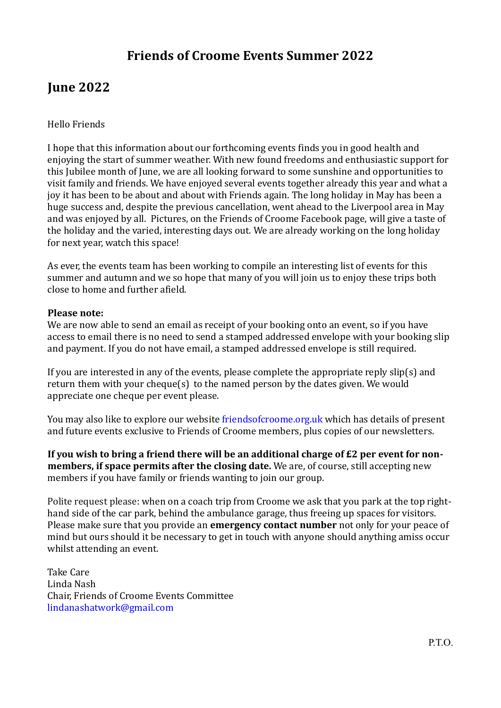# **Friends of Croome Events Summer 2022**

# **June 2022**

## Hello Friends

I hope that this information about our forthcoming events finds you in good health and enjoying the start of summer weather. With new found freedoms and enthusiastic support for this Jubilee month of June, we are all looking forward to some sunshine and opportunities to visit family and friends. We have enjoyed several events together already this year and what a joy it has been to be about and about with Friends again. The long holiday in May has been a huge success and, despite the previous cancellation, went ahead to the Liverpool area in May and was enjoyed by all. Pictures, on the Friends of Croome Facebook page, will give a taste of the holiday and the varied, interesting days out. We are already working on the long holiday for next year, watch this space!

As ever, the events team has been working to compile an interesting list of events for this summer and autumn and we so hope that many of you will join us to enjoy these trips both close to home and further afield.

### **Please note:**

We are now able to send an email as receipt of your booking onto an event, so if you have access to email there is no need to send a stamped addressed envelope with your booking slip and payment. If you do not have email, a stamped addressed envelope is still required.

If you are interested in any of the events, please complete the appropriate reply slip(s) and return them with your cheque(s) to the named person by the dates given. We would appreciate one cheque per event please.

You may also like to explore our website friendsofcroome.org.uk which has details of present and future events exclusive to Friends of Croome members, plus copies of our newsletters.

**If you wish to bring a friend there will be an additional charge of £2 per event for nonmembers, if space permits after the closing date.** We are, of course, still accepting new members if you have family or friends wanting to join our group.

Polite request please: when on a coach trip from Croome we ask that you park at the top righthand side of the car park, behind the ambulance garage, thus freeing up spaces for visitors. Please make sure that you provide an **emergency contact number** not only for your peace of mind but ours should it be necessary to get in touch with anyone should anything amiss occur whilst attending an event.

Take Care Linda Nash Chair, Friends of Croome Events Committee lindanashatwork@gmail.com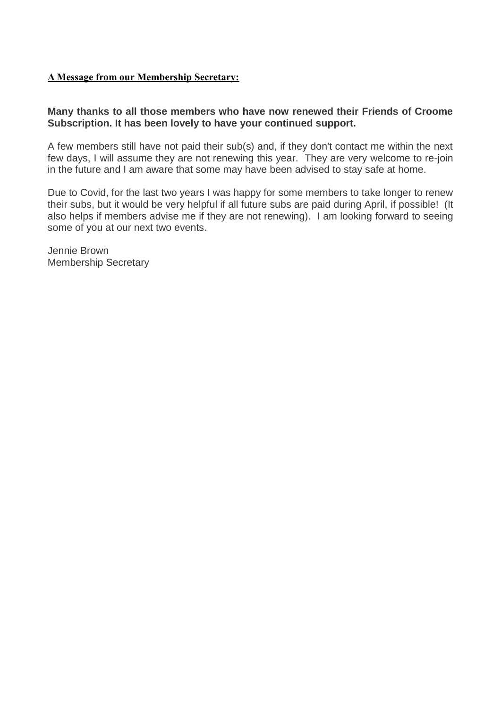### **A Message from our Membership Secretary:**

## **Many thanks to all those members who have now renewed their Friends of Croome Subscription. It has been lovely to have your continued support.**

A few members still have not paid their sub(s) and, if they don't contact me within the next few days, I will assume they are not renewing this year. They are very welcome to re-join in the future and I am aware that some may have been advised to stay safe at home.

Due to Covid, for the last two years I was happy for some members to take longer to renew their subs, but it would be very helpful if all future subs are paid during April, if possible! (It also helps if members advise me if they are not renewing). I am looking forward to seeing some of you at our next two events.

Jennie Brown Membership Secretary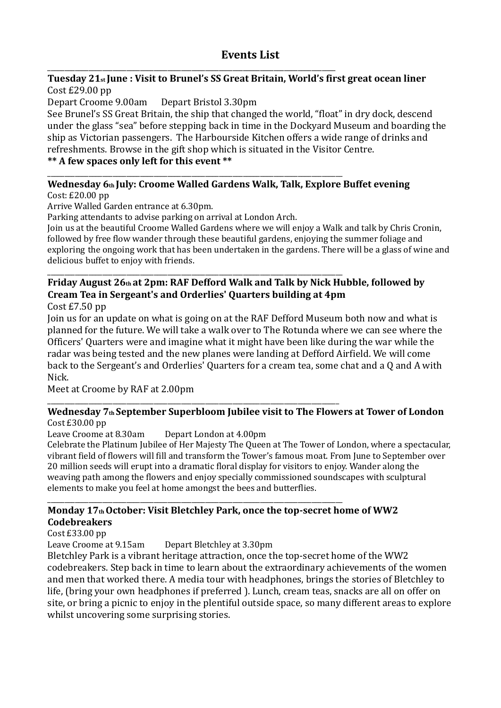# **Events List**

#### \_\_\_\_\_\_\_\_\_\_\_\_\_\_\_\_\_\_\_\_\_\_\_\_\_\_\_\_\_\_\_\_\_\_\_\_\_\_\_\_\_\_\_\_\_\_\_\_\_\_\_\_\_\_\_\_\_\_\_\_\_\_\_\_\_\_\_\_\_\_\_\_\_\_\_\_\_\_\_\_\_\_\_\_ **Tuesday 21st June : Visit to Brunel's SS Great Britain, World's first great ocean liner** Cost £29.00 pp

Depart Croome 9.00am Depart Bristol 3.30pm

See Brunel's SS Great Britain, the ship that changed the world, "float" in dry dock, descend under the glass "sea" before stepping back in time in the Dockyard Museum and boarding the ship as Victorian passengers. The Harbourside Kitchen offers a wide range of drinks and refreshments. Browse in the gift shop which is situated in the Visitor Centre.

# **\*\* A few spaces only left for this event \*\***

# **Wednesday 6th July: Croome Walled Gardens Walk, Talk, Explore Buffet evening**

Cost: £20.00 pp

Arrive Walled Garden entrance at 6.30pm.

Parking attendants to advise parking on arrival at London Arch.

\_\_\_\_\_\_\_\_\_\_\_\_\_\_\_\_\_\_\_\_\_\_\_\_\_\_\_\_\_\_\_\_\_\_\_\_\_\_\_\_\_\_\_\_\_\_\_\_\_\_\_\_\_\_\_\_\_\_\_\_\_\_\_\_\_\_\_\_\_\_\_\_\_\_\_\_\_\_\_\_\_\_\_\_\_\_

Join us at the beautiful Croome Walled Gardens where we will enjoy a Walk and talk by Chris Cronin, followed by free flow wander through these beautiful gardens, enjoying the summer foliage and exploring the ongoing work that has been undertaken in the gardens. There will be a glass of wine and delicious buffet to enjoy with friends.

# \_\_\_\_\_\_\_\_\_\_\_\_\_\_\_\_\_\_\_\_\_\_\_\_\_\_\_\_\_\_\_\_\_\_\_\_\_\_\_\_\_\_\_\_\_\_\_\_\_\_\_\_\_\_\_\_\_\_\_\_\_\_\_\_\_\_\_\_\_\_\_\_\_\_\_\_\_\_\_\_\_\_\_\_\_\_ **Friday August 26th at 2pm: RAF Defford Walk and Talk by Nick Hubble, followed by Cream Tea in Sergeant's and Orderlies' Quarters building at 4pm**

Cost £7.50 pp

Join us for an update on what is going on at the RAF Defford Museum both now and what is planned for the future. We will take a walk over to The Rotunda where we can see where the Officers' Quarters were and imagine what it might have been like during the war while the radar was being tested and the new planes were landing at Defford Airfield. We will come back to the Sergeant's and Orderlies' Quarters for a cream tea, some chat and a Q and A with Nick.

Meet at Croome by RAF at 2.00pm

#### \_\_\_\_\_\_\_\_\_\_\_\_\_\_\_\_\_\_\_\_\_\_\_\_\_\_\_\_\_\_\_\_\_\_\_\_\_\_\_\_\_\_\_\_\_\_\_\_\_\_\_\_\_\_\_\_\_\_\_\_\_\_\_\_\_\_\_\_\_\_\_\_\_\_\_\_\_\_\_\_\_\_\_\_\_ **Wednesday 7th September Superbloom Jubilee visit to The Flowers at Tower of London** Cost £30.00 pp

Leave Croome at 8.30am Depart London at 4.00pm

Celebrate the Platinum Jubilee of Her Majesty The Queen at The Tower of London, where a spectacular, vibrant field of flowers will fill and transform the Tower's famous moat. From June to September over 20 million seeds will erupt into a dramatic floral display for visitors to enjoy. Wander along the weaving path among the flowers and enjoy specially commissioned soundscapes with sculptural elements to make you feel at home amongst the bees and butterflies.

### \_\_\_\_\_\_\_\_\_\_\_\_\_\_\_\_\_\_\_\_\_\_\_\_\_\_\_\_\_\_\_\_\_\_\_\_\_\_\_\_\_\_\_\_\_\_\_\_\_\_\_\_\_\_\_\_\_\_\_\_\_\_\_\_\_\_\_\_\_\_\_\_\_\_\_\_\_\_\_\_\_\_\_\_\_\_ **Monday 17th October: Visit Bletchley Park, once the top-secret home of WW2 Codebreakers**

Cost £33.00 pp

Leave Croome at 9.15am Depart Bletchley at 3.30pm

Bletchley Park is a vibrant heritage attraction, once the top-secret home of the WW2 codebreakers. Step back in time to learn about the extraordinary achievements of the women and men that worked there. A media tour with headphones, brings the stories of Bletchley to life, (bring your own headphones if preferred ). Lunch, cream teas, snacks are all on offer on site, or bring a picnic to enjoy in the plentiful outside space, so many different areas to explore whilst uncovering some surprising stories.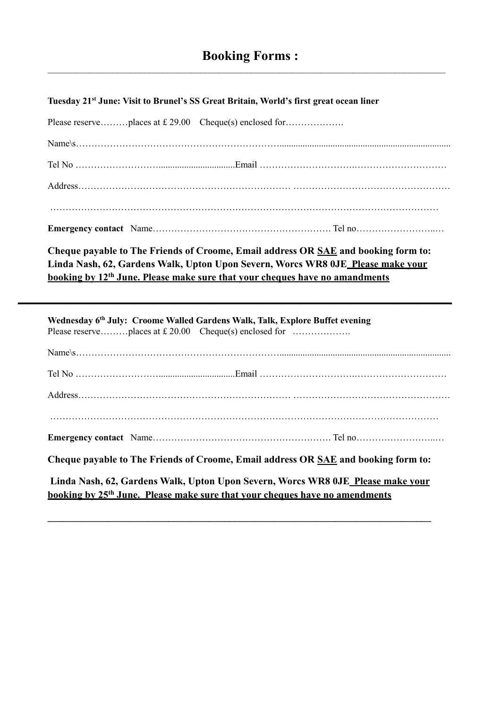#### **Tuesday 21st June: Visit to Brunel's SS Great Britain, World's first great ocean liner**

**Cheque payable to The Friends of Croome, Email address OR SAE and booking form to: Linda Nash, 62, Gardens Walk, Upton Upon Severn, Worcs WR8 0JE Please make your booking by 12th June. Please make sure that your cheques have no amandments**

**\_\_\_\_\_\_\_\_\_\_\_\_\_\_\_\_\_\_\_\_\_\_\_\_\_\_\_\_\_\_\_\_\_\_\_\_\_\_\_\_\_\_\_\_\_\_\_\_\_\_\_\_\_\_\_\_\_\_\_\_\_\_\_\_\_\_\_\_\_\_\_\_\_\_\_\_\_\_\_\_\_\_\_\_\_\_**

| Wednesday 6th July: Croome Walled Gardens Walk, Talk, Explore Buffet evening                                                                                               |  |  |  |  |
|----------------------------------------------------------------------------------------------------------------------------------------------------------------------------|--|--|--|--|
|                                                                                                                                                                            |  |  |  |  |
|                                                                                                                                                                            |  |  |  |  |
|                                                                                                                                                                            |  |  |  |  |
|                                                                                                                                                                            |  |  |  |  |
|                                                                                                                                                                            |  |  |  |  |
| Cheque payable to The Friends of Croome, Email address OR SAE and booking form to:                                                                                         |  |  |  |  |
| Linda Nash, 62, Gardens Walk, Upton Upon Severn, Worcs WR8 0JE_Please make vour<br>booking by 25 <sup>th</sup> June. Please make sure that your cheques have no amendments |  |  |  |  |

**\_\_\_\_\_\_\_\_\_\_\_\_\_\_\_\_\_\_\_\_\_\_\_\_\_\_\_\_\_\_\_\_\_\_\_\_\_\_\_\_\_\_\_\_\_\_\_\_\_\_\_\_\_\_\_\_\_\_\_\_\_\_\_\_\_\_\_\_\_\_\_\_\_\_\_\_**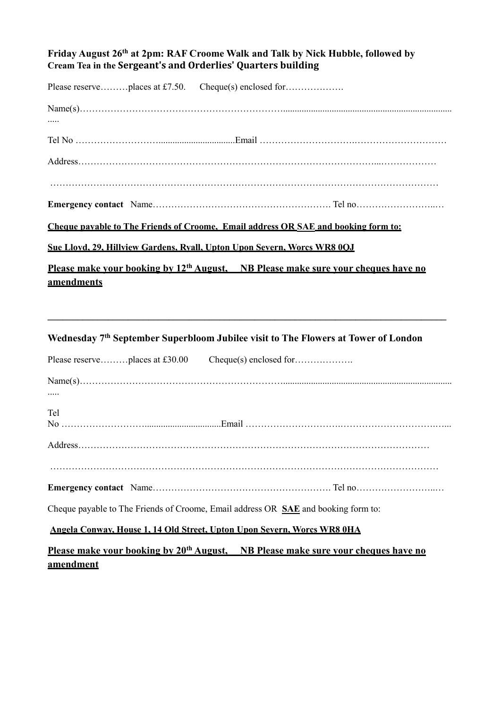## **Friday August 26th at 2pm: RAF Croome Walk and Talk by Nick Hubble, followed by Cream Tea in the Sergeant's and Orderlies' Quarters building**

|                   | Please reserveplaces at £7.50. Cheque(s) enclosed for                                               |
|-------------------|-----------------------------------------------------------------------------------------------------|
|                   |                                                                                                     |
|                   |                                                                                                     |
|                   |                                                                                                     |
|                   |                                                                                                     |
|                   |                                                                                                     |
|                   |                                                                                                     |
|                   | <b>Cheque payable to The Friends of Croome. Email address OR SAE and booking form to:</b>           |
|                   | Sue Lloyd, 29, Hillyiew Gardens, Ryall, Upton Upon Severn, Worcs WR8 0OJ                            |
|                   | <u>Please make vour booking by 12<sup>th</sup> August, NB Please make sure vour cheques have no</u> |
| <u>amendments</u> |                                                                                                     |
|                   |                                                                                                     |
|                   |                                                                                                     |

# **Wednesday 7th September Superbloom Jubilee visit to The Flowers at Tower of London**

| Please reserveplaces at £30.00 Cheque(s) enclosed for                                                                   |  |  |  |  |
|-------------------------------------------------------------------------------------------------------------------------|--|--|--|--|
|                                                                                                                         |  |  |  |  |
| <b>Tel</b>                                                                                                              |  |  |  |  |
|                                                                                                                         |  |  |  |  |
|                                                                                                                         |  |  |  |  |
| Cheque payable to The Friends of Croome, Email address OR SAE and booking form to:                                      |  |  |  |  |
| <b>Angela Conway, House 1, 14 Old Street, Upton Upon Severn, Worcs WR8 0HA</b>                                          |  |  |  |  |
| <u>Please make vour booking by 20<sup>th</sup> August. NB Please make sure vour cheques have no</u><br><u>amendment</u> |  |  |  |  |